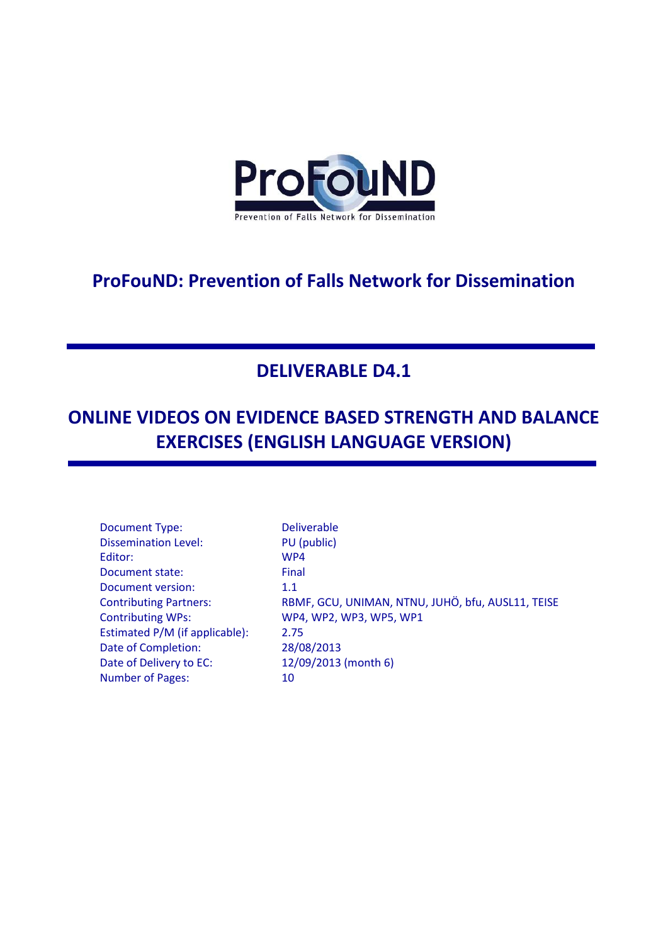

# **ProFouND: Prevention of Falls Network for Dissemination**

# **DELIVERABLE D4.1**

# **ONLINE VIDEOS ON EVIDENCE BASED STRENGTH AND BALANCE EXERCISES (ENGLISH LANGUAGE VERSION)**

Document Type: Deliverable Dissemination Level: PU (public) Editor: WP4 Document state: Final Document version: 1.1 Contributing WPs: WP4, WP2, WP3, WP5, WP1 Estimated P/M (if applicable): 2.75 Date of Completion: 28/08/2013 Date of Delivery to EC: 12/09/2013 (month 6) Number of Pages: 10

Contributing Partners: RBMF, GCU, UNIMAN, NTNU, JUHÖ, bfu, AUSL11, TEISE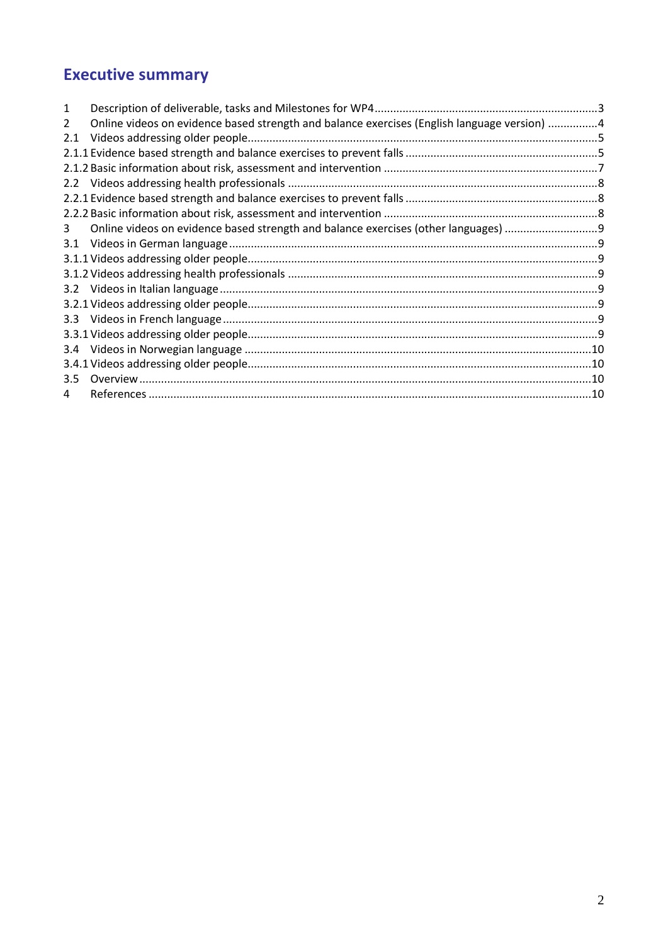# **Executive summary**

| 1                |                                                                                             |  |
|------------------|---------------------------------------------------------------------------------------------|--|
| 2                | Online videos on evidence based strength and balance exercises (English language version) 4 |  |
| 2.1              |                                                                                             |  |
|                  |                                                                                             |  |
|                  |                                                                                             |  |
| $2.2^{\circ}$    |                                                                                             |  |
|                  |                                                                                             |  |
|                  |                                                                                             |  |
| 3                | Online videos on evidence based strength and balance exercises (other languages)            |  |
| 3.1              |                                                                                             |  |
|                  |                                                                                             |  |
|                  |                                                                                             |  |
|                  |                                                                                             |  |
|                  |                                                                                             |  |
| 3.3 <sub>2</sub> |                                                                                             |  |
|                  |                                                                                             |  |
| 3.4              |                                                                                             |  |
|                  |                                                                                             |  |
| 3.5              |                                                                                             |  |
| 4                |                                                                                             |  |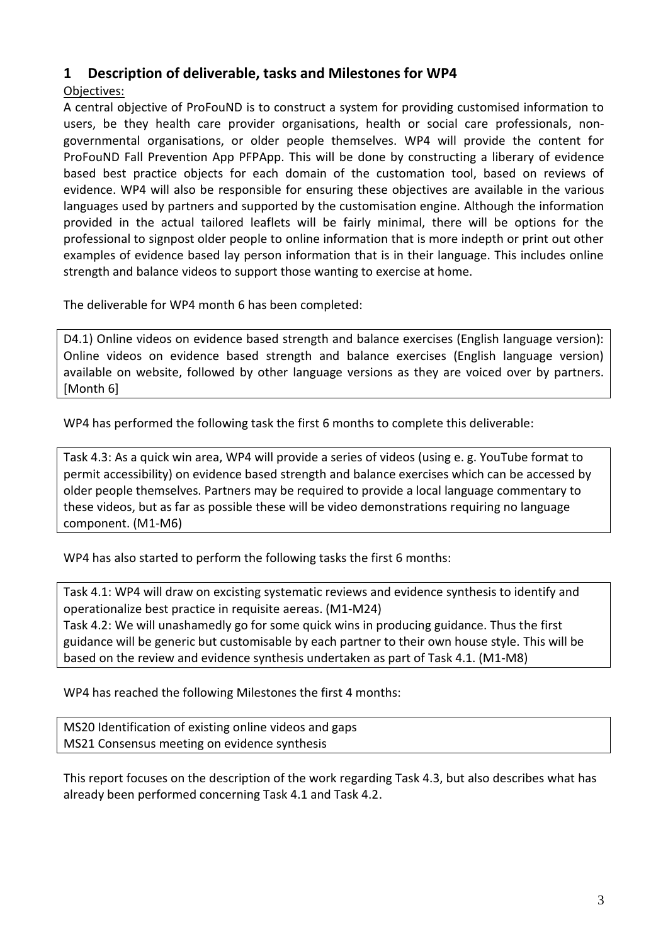# <span id="page-2-0"></span>**1 Description of deliverable, tasks and Milestones for WP4**

#### Objectives:

A central objective of ProFouND is to construct a system for providing customised information to users, be they health care provider organisations, health or social care professionals, nongovernmental organisations, or older people themselves. WP4 will provide the content for ProFouND Fall Prevention App PFPApp. This will be done by constructing a liberary of evidence based best practice objects for each domain of the customation tool, based on reviews of evidence. WP4 will also be responsible for ensuring these objectives are available in the various languages used by partners and supported by the customisation engine. Although the information provided in the actual tailored leaflets will be fairly minimal, there will be options for the professional to signpost older people to online information that is more indepth or print out other examples of evidence based lay person information that is in their language. This includes online strength and balance videos to support those wanting to exercise at home.

The deliverable for WP4 month 6 has been completed:

D4.1) Online videos on evidence based strength and balance exercises (English language version): Online videos on evidence based strength and balance exercises (English language version) available on website, followed by other language versions as they are voiced over by partners. [Month 6]

WP4 has performed the following task the first 6 months to complete this deliverable:

Task 4.3: As a quick win area, WP4 will provide a series of videos (using e. g. YouTube format to permit accessibility) on evidence based strength and balance exercises which can be accessed by older people themselves. Partners may be required to provide a local language commentary to these videos, but as far as possible these will be video demonstrations requiring no language component. (M1-M6)

WP4 has also started to perform the following tasks the first 6 months:

Task 4.1: WP4 will draw on excisting systematic reviews and evidence synthesis to identify and operationalize best practice in requisite aereas. (M1-M24)

Task 4.2: We will unashamedly go for some quick wins in producing guidance. Thus the first guidance will be generic but customisable by each partner to their own house style. This will be based on the review and evidence synthesis undertaken as part of Task 4.1. (M1-M8)

WP4 has reached the following Milestones the first 4 months:

MS20 Identification of existing online videos and gaps MS21 Consensus meeting on evidence synthesis

This report focuses on the description of the work regarding Task 4.3, but also describes what has already been performed concerning Task 4.1 and Task 4.2.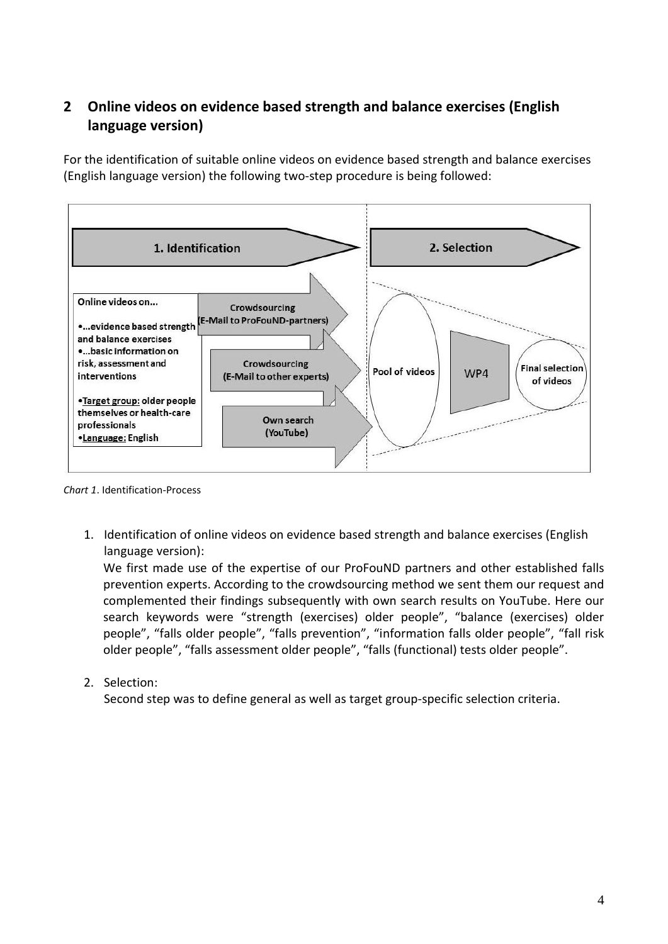# <span id="page-3-0"></span>**2 Online videos on evidence based strength and balance exercises (English language version)**

For the identification of suitable online videos on evidence based strength and balance exercises (English language version) the following two-step procedure is being followed:



*Chart 1*. Identification-Process

1. Identification of online videos on evidence based strength and balance exercises (English language version):

We first made use of the expertise of our ProFouND partners and other established falls prevention experts. According to the crowdsourcing method we sent them our request and complemented their findings subsequently with own search results on YouTube. Here our search keywords were "strength (exercises) older people", "balance (exercises) older people", "falls older people", "falls prevention", "information falls older people", "fall risk older people", "falls assessment older people", "falls (functional) tests older people".

2. Selection:

Second step was to define general as well as target group-specific selection criteria.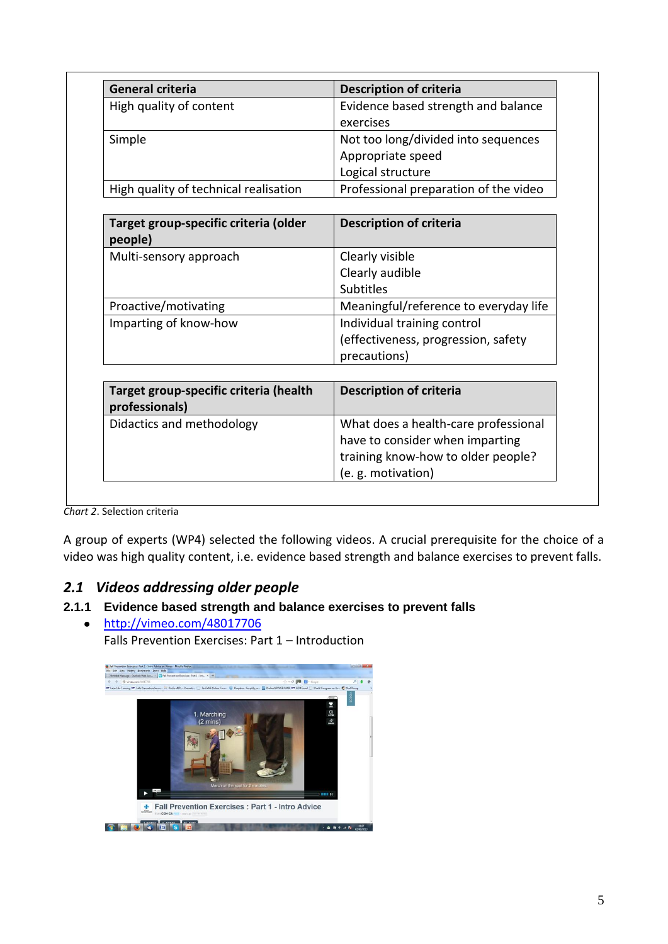| <b>General criteria</b>                                  | <b>Description of criteria</b>        |  |  |
|----------------------------------------------------------|---------------------------------------|--|--|
| High quality of content                                  | Evidence based strength and balance   |  |  |
|                                                          | exercises                             |  |  |
| Simple                                                   | Not too long/divided into sequences   |  |  |
|                                                          | Appropriate speed                     |  |  |
|                                                          | Logical structure                     |  |  |
| High quality of technical realisation                    | Professional preparation of the video |  |  |
|                                                          |                                       |  |  |
| Target group-specific criteria (older<br>people)         | <b>Description of criteria</b>        |  |  |
| Multi-sensory approach                                   | Clearly visible                       |  |  |
|                                                          | Clearly audible                       |  |  |
|                                                          | <b>Subtitles</b>                      |  |  |
| Proactive/motivating                                     | Meaningful/reference to everyday life |  |  |
| Imparting of know-how                                    | Individual training control           |  |  |
|                                                          | (effectiveness, progression, safety   |  |  |
|                                                          | precautions)                          |  |  |
|                                                          |                                       |  |  |
| Target group-specific criteria (health<br>professionals) | <b>Description of criteria</b>        |  |  |
| Didactics and methodology                                | What does a health-care professional  |  |  |
|                                                          | have to consider when imparting       |  |  |
|                                                          | training know-how to older people?    |  |  |
|                                                          | (e. g. motivation)                    |  |  |

*Chart 2*. Selection criteria

A group of experts (WP4) selected the following videos. A crucial prerequisite for the choice of a video was high quality content, i.e. evidence based strength and balance exercises to prevent falls.

# <span id="page-4-0"></span>*2.1 Videos addressing older people*

#### <span id="page-4-1"></span>**2.1.1 Evidence based strength and balance exercises to prevent falls**

<http://vimeo.com/48017706>  $\bullet$ 

Falls Prevention Exercises: Part 1 – Introduction

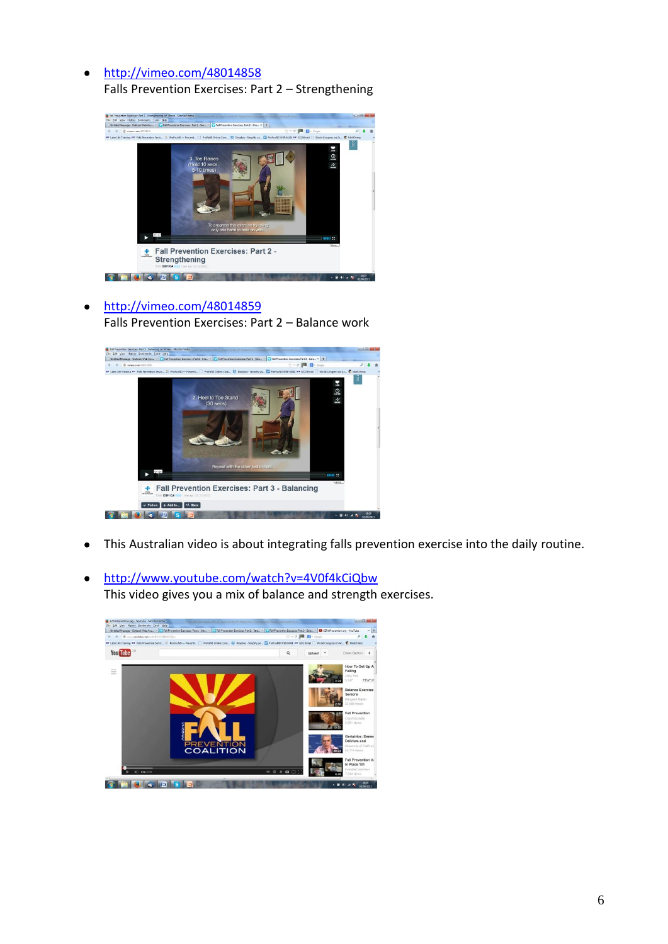#### <http://vimeo.com/48014858>  $\bullet$

Falls Prevention Exercises: Part 2 – Strengthening



<http://vimeo.com/48014859>  $\bullet$ Falls Prevention Exercises: Part 2 – Balance work



- This Australian video is about integrating falls prevention exercise into the daily routine.  $\bullet$
- <http://www.youtube.com/watch?v=4V0f4kCiQbw>  $\bullet$ This video gives you a mix of balance and strength exercises.

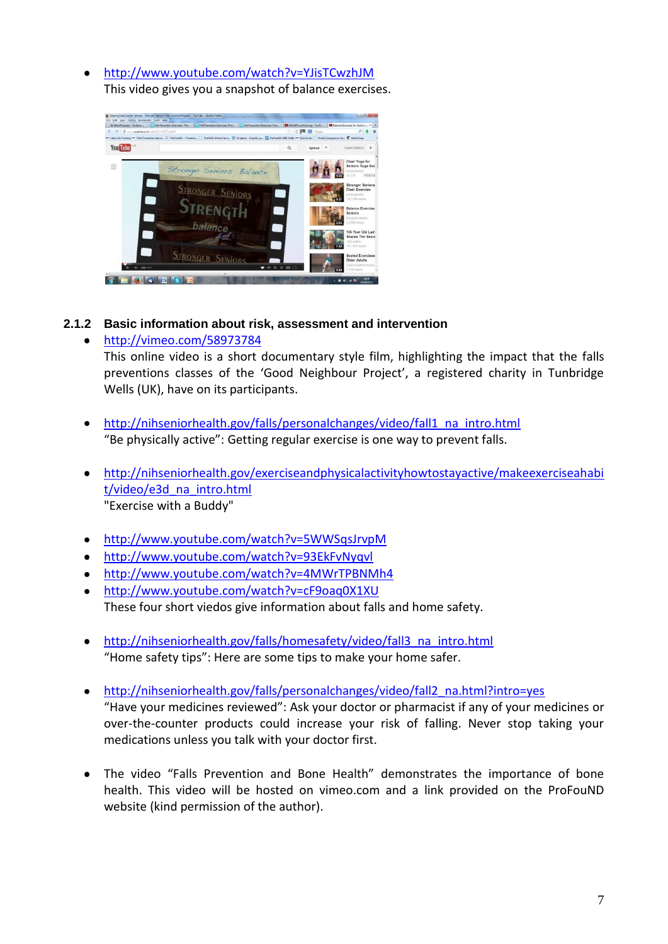<http://www.youtube.com/watch?v=YJisTCwzhJM> This video gives you a snapshot of balance exercises.



#### <span id="page-6-0"></span>**2.1.2 Basic information about risk, assessment and intervention**

#### <http://vimeo.com/58973784> This online video is a short documentary style film, highlighting the impact that the falls preventions classes of the 'Good Neighbour Project', a registered charity in Tunbridge Wells (UK), have on its participants.

- [http://nihseniorhealth.gov/falls/personalchanges/video/fall1\\_na\\_intro.html](http://nihseniorhealth.gov/falls/personalchanges/video/fall1_na_intro.html)  $\bullet$ "Be physically active": Getting regular exercise is one way to prevent falls.
- [http://nihseniorhealth.gov/exerciseandphysicalactivityhowtostayactive/makeexerciseahabi](http://nihseniorhealth.gov/exerciseandphysicalactivityhowtostayactive/makeexerciseahabit/video/e3d_na_intro.html)  $\bullet$ [t/video/e3d\\_na\\_intro.html](http://nihseniorhealth.gov/exerciseandphysicalactivityhowtostayactive/makeexerciseahabit/video/e3d_na_intro.html) "Exercise with a Buddy"
- $\bullet$ <http://www.youtube.com/watch?v=5WWSqsJrvpM>
- <http://www.youtube.com/watch?v=93EkFvNyqvl>
- <http://www.youtube.com/watch?v=4MWrTPBNMh4>  $\bullet$
- <http://www.youtube.com/watch?v=cF9oaq0X1XU> These four short viedos give information about falls and home safety.
- [http://nihseniorhealth.gov/falls/homesafety/video/fall3\\_na\\_intro.html](http://nihseniorhealth.gov/falls/homesafety/video/fall3_na_intro.html)  $\bullet$ "Home safety tips": Here are some tips to make your home safer.
- $\bullet$ [http://nihseniorhealth.gov/falls/personalchanges/video/fall2\\_na.html?intro=yes](http://nihseniorhealth.gov/falls/personalchanges/video/fall2_na.html?intro=yes) "Have your medicines reviewed": Ask your doctor or pharmacist if any of your medicines or over-the-counter products could increase your risk of falling. Never stop taking your medications unless you talk with your doctor first.
- The video "Falls Prevention and Bone Health" demonstrates the importance of bone health. This video will be hosted on vimeo.com and a link provided on the ProFouND website (kind permission of the author).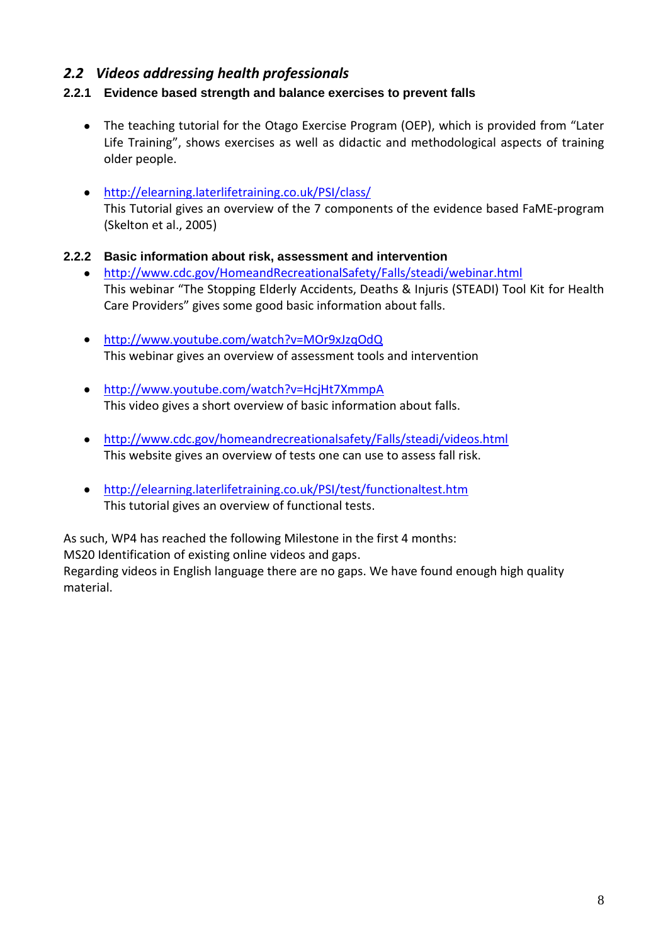## <span id="page-7-0"></span>*2.2 Videos addressing health professionals*

#### <span id="page-7-1"></span>**2.2.1 Evidence based strength and balance exercises to prevent falls**

- The teaching tutorial for the Otago Exercise Program (OEP), which is provided from "Later Life Training", shows exercises as well as didactic and methodological aspects of training older people.
- <http://elearning.laterlifetraining.co.uk/PSI/class/> This Tutorial gives an overview of the 7 components of the evidence based FaME-program (Skelton et al., 2005)
- <span id="page-7-2"></span>**2.2.2 Basic information about risk, assessment and intervention**
	- <http://www.cdc.gov/HomeandRecreationalSafety/Falls/steadi/webinar.html>  $\bullet$ This webinar "The Stopping Elderly Accidents, Deaths & Injuris (STEADI) Tool Kit for Health Care Providers" gives some good basic information about falls.
	- <http://www.youtube.com/watch?v=MOr9xJzqOdQ> This webinar gives an overview of assessment tools and intervention
	- <http://www.youtube.com/watch?v=HcjHt7XmmpA> This video gives a short overview of basic information about falls.
	- <http://www.cdc.gov/homeandrecreationalsafety/Falls/steadi/videos.html> This website gives an overview of tests one can use to assess fall risk.
	- <http://elearning.laterlifetraining.co.uk/PSI/test/functionaltest.htm> This tutorial gives an overview of functional tests.

As such, WP4 has reached the following Milestone in the first 4 months:

MS20 Identification of existing online videos and gaps.

Regarding videos in English language there are no gaps. We have found enough high quality material.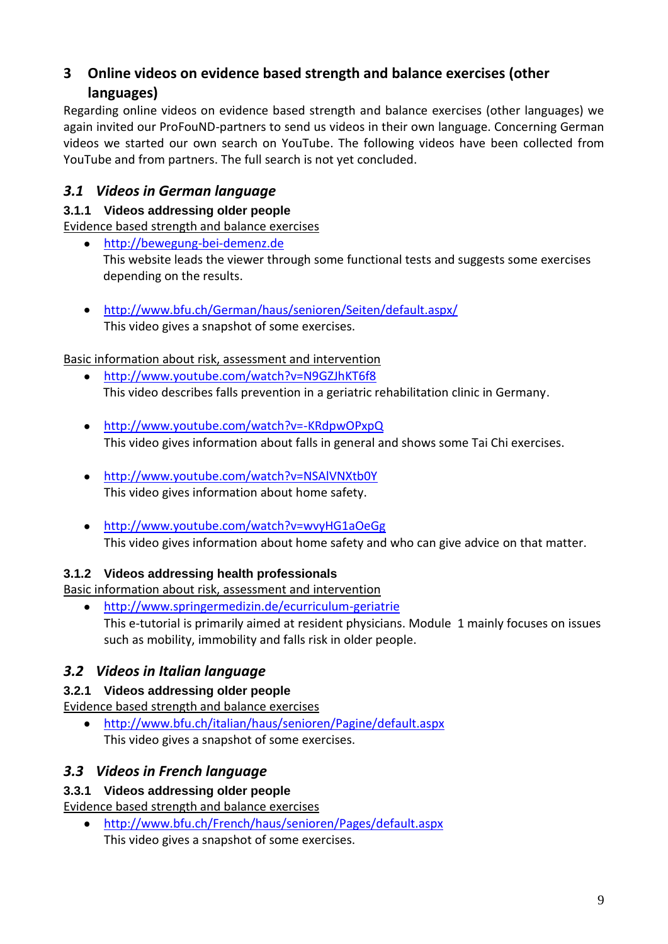# <span id="page-8-0"></span>**3 Online videos on evidence based strength and balance exercises (other languages)**

Regarding online videos on evidence based strength and balance exercises (other languages) we again invited our ProFouND-partners to send us videos in their own language. Concerning German videos we started our own search on YouTube. The following videos have been collected from YouTube and from partners. The full search is not yet concluded.

# <span id="page-8-1"></span>*3.1 Videos in German language*

#### <span id="page-8-2"></span>**3.1.1 Videos addressing older people**

Evidence based strength and balance exercises

- [http://bewegung-bei-demenz.de](http://bewegung-bei-demenz.de/) This website leads the viewer through some functional tests and suggests some exercises depending on the results.
- <http://www.bfu.ch/German/haus/senioren/Seiten/default.aspx/> This video gives a snapshot of some exercises.

## Basic information about risk, assessment and intervention

- <http://www.youtube.com/watch?v=N9GZJhKT6f8>  $\bullet$ This video describes falls prevention in a geriatric rehabilitation clinic in Germany.
- <http://www.youtube.com/watch?v=-KRdpwOPxpQ> This video gives information about falls in general and shows some Tai Chi exercises.
- <http://www.youtube.com/watch?v=NSAlVNXtb0Y> This video gives information about home safety.
- <http://www.youtube.com/watch?v=wvyHG1aOeGg> This video gives information about home safety and who can give advice on that matter.

# <span id="page-8-3"></span>**3.1.2 Videos addressing health professionals**

Basic information about risk, assessment and intervention

<http://www.springermedizin.de/ecurriculum-geriatrie>  $\bullet$ This e-tutorial is primarily aimed at resident physicians. Module 1 mainly focuses on issues such as mobility, immobility and falls risk in older people.

# <span id="page-8-4"></span>*3.2 Videos in Italian language*

#### <span id="page-8-5"></span>**3.2.1 Videos addressing older people**

Evidence based strength and balance exercises

<http://www.bfu.ch/italian/haus/senioren/Pagine/default.aspx> This video gives a snapshot of some exercises.

# <span id="page-8-6"></span>*3.3 Videos in French language*

# <span id="page-8-7"></span>**3.3.1 Videos addressing older people**

Evidence based strength and balance exercises

<http://www.bfu.ch/French/haus/senioren/Pages/default.aspx> This video gives a snapshot of some exercises.